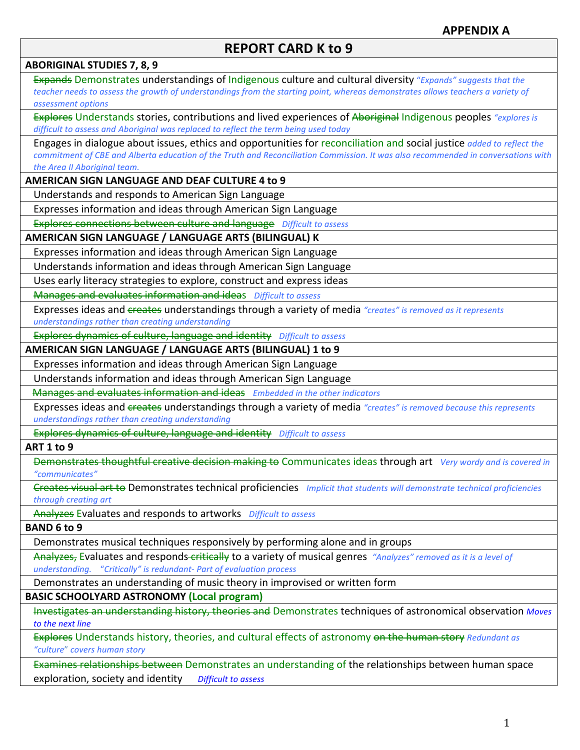# **REPORT CARD K to 9**

**ABORIGINAL STUDIES 7, 8, 9** Expands Demonstrates understandings of Indigenous culture and cultural diversity "Expands" suggests that the teacher needs to assess the growth of understandings from the starting point, whereas demonstrates allows teachers a variety of *assessment options* Explores Understands stories, contributions and lived experiences of Aboriginal Indigenous peoples "explores is *difficult to assess and Aboriginal was replaced to reflect the term being used today* Engages in dialogue about issues, ethics and opportunities for reconciliation and social justice *added to reflect the commitment of CBE and Alberta education of the Truth and Reconciliation Commission. It was also recommended in conversations with* the Area II Aboriginal team. **AMERICAN SIGN LANGUAGE AND DEAF CULTURE 4 to 9** Understands and responds to American Sign Language Expresses information and ideas through American Sign Language Explores connections between culture and language *Difficult to assess* **AMERICAN SIGN LANGUAGE / LANGUAGE ARTS (BILINGUAL) K** Expresses information and ideas through American Sign Language Understands information and ideas through American Sign Language Uses early literacy strategies to explore, construct and express ideas **Manages and evaluates information and ideas** Difficult to assess Expresses ideas and creates understandings through a variety of media "creates" is removed as it represents *understandings rather than creating understanding* Explores dynamics of culture, language and identity Difficult to assess **AMERICAN SIGN LANGUAGE / LANGUAGE ARTS (BILINGUAL) 1 to 9** Expresses information and ideas through American Sign Language Understands information and ideas through American Sign Language Manages and evaluates information and ideas Embedded in the other indicators Expresses ideas and creates understandings through a variety of media "creates" is removed because this represents *understandings rather than creating understanding* Explores dynamics of culture, language and identity *Difficult to assess* **ART 1 to 9** Demonstrates thoughtful creative decision making to Communicates ideas through art *Very wordy and is covered in "communicates"* Greates visual art to Demonstrates technical proficiencies *Implicit that students will demonstrate technical proficiencies through creating art* Analyzes Evaluates and responds to artworks Difficult to assess **BAND 6 to 9** Demonstrates musical techniques responsively by performing alone and in groups Analyzes, Evaluates and responds-critically to a variety of musical genres *"Analyzes" removed as it is a level of understanding.*  "*Critically" is redundant- Part of evaluation process* Demonstrates an understanding of music theory in improvised or written form **BASIC SCHOOLYARD ASTRONOMY (Local program)** Investigates an understanding history, theories and Demonstrates techniques of astronomical observation *Moves* to the next line Explores Understands history, theories, and cultural effects of astronomy on the human story *Redundant as "culture*" *covers human story* Examines relationships between Demonstrates an understanding of the relationships between human space exploration, society and identity *Difficult to assess*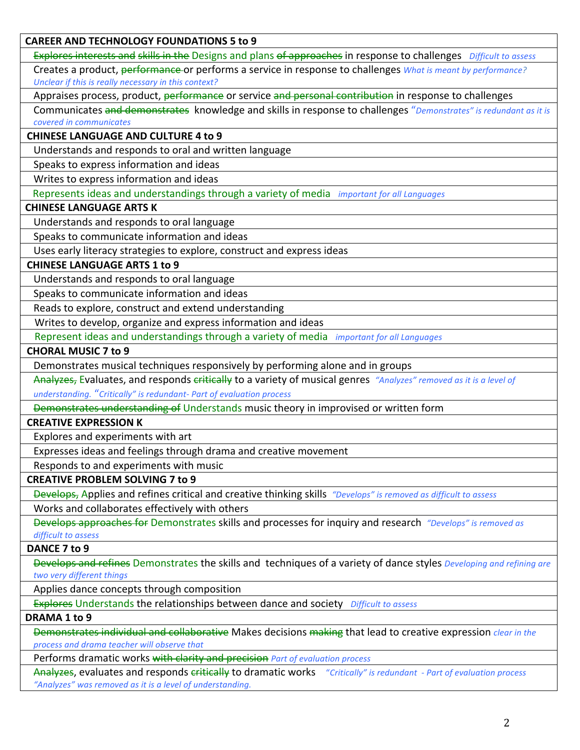**CAREER AND TECHNOLOGY FOUNDATIONS 5 to 9** Explores interests and skills in the Designs and plans of approaches in response to challenges *Difficult to assess* Creates a product, performance or performs a service in response to challenges *What is meant by performance?* Unclear if this is really necessary in this context? Appraises process, product, performance or service and personal contribution in response to challenges Communicates and demonstrates knowledge and skills in response to challenges "Demonstrates" is redundant as it is *covered in communicates* **CHINESE LANGUAGE AND CULTURE 4 to 9** Understands and responds to oral and written language Speaks to express information and ideas Writes to express information and ideas Represents ideas and understandings through a variety of media *important for all Languages* **CHINESE LANGUAGE ARTS K** Understands and responds to oral language Speaks to communicate information and ideas Uses early literacy strategies to explore, construct and express ideas **CHINESE LANGUAGE ARTS 1 to 9** Understands and responds to oral language Speaks to communicate information and ideas Reads to explore, construct and extend understanding Writes to develop, organize and express information and ideas Represent ideas and understandings through a variety of media *important for all Languages* **CHORAL MUSIC 7 to 9** Demonstrates musical techniques responsively by performing alone and in groups Analyzes, Evaluates, and responds critically to a variety of musical genres "Analyzes" removed as it is a level of *understanding.* "*Critically" is redundant- Part of evaluation process* Demonstrates understanding of Understands music theory in improvised or written form **CREATIVE EXPRESSION K** Explores and experiments with art Expresses ideas and feelings through drama and creative movement Responds to and experiments with music **CREATIVE PROBLEM SOLVING 7 to 9** Develops, Applies and refines critical and creative thinking skills "Develops" is removed as difficult to assess Works and collaborates effectively with others Develops approaches for Demonstrates skills and processes for inquiry and research *"Develops"* is removed as difficult to assess **DANCE 7 to 9** Develops and refines Demonstrates the skills and techniques of a variety of dance styles *Developing and refining are two very different things* Applies dance concepts through composition Explores Understands the relationships between dance and society Difficult to assess **DRAMA 1 to 9** Demonstrates individual and collaborative Makes decisions making that lead to creative expression *clear in the process and drama teacher will observe that* Performs dramatic works with clarity and precision *Part of evaluation process* 

Analyzes, evaluates and responds critically to dramatic works "Critically" is redundant - Part of evaluation process "Analyzes" was removed as it is a level of understanding.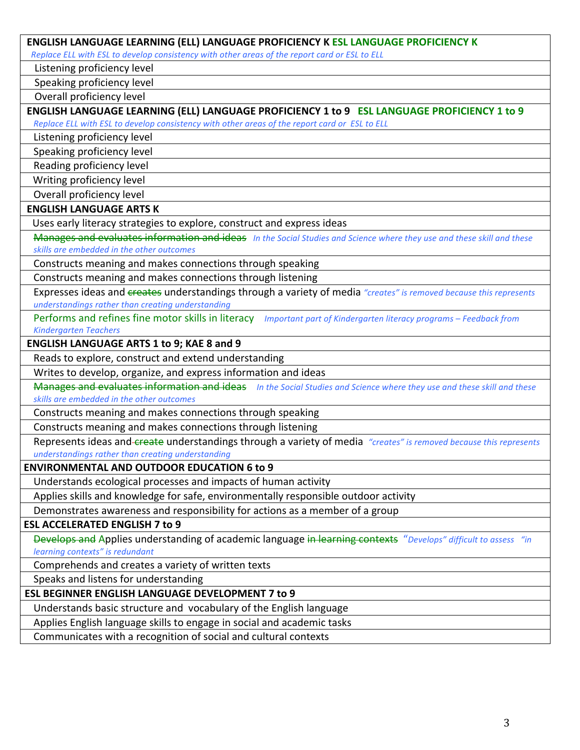| ENGLISH LANGUAGE LEARNING (ELL) LANGUAGE PROFICIENCY K ESL LANGUAGE PROFICIENCY K                                                                                   |
|---------------------------------------------------------------------------------------------------------------------------------------------------------------------|
| Replace ELL with ESL to develop consistency with other areas of the report card or ESL to ELL                                                                       |
| Listening proficiency level                                                                                                                                         |
| Speaking proficiency level                                                                                                                                          |
| Overall proficiency level                                                                                                                                           |
| ENGLISH LANGUAGE LEARNING (ELL) LANGUAGE PROFICIENCY 1 to 9 ESL LANGUAGE PROFICIENCY 1 to 9                                                                         |
| Replace ELL with ESL to develop consistency with other areas of the report card or ESL to ELL                                                                       |
| Listening proficiency level                                                                                                                                         |
| Speaking proficiency level                                                                                                                                          |
| Reading proficiency level                                                                                                                                           |
| Writing proficiency level                                                                                                                                           |
| Overall proficiency level                                                                                                                                           |
| <b>ENGLISH LANGUAGE ARTS K</b>                                                                                                                                      |
| Uses early literacy strategies to explore, construct and express ideas                                                                                              |
| Manages and evaluates information and ideas In the Social Studies and Science where they use and these skill and these<br>skills are embedded in the other outcomes |
| Constructs meaning and makes connections through speaking                                                                                                           |
| Constructs meaning and makes connections through listening                                                                                                          |
| Expresses ideas and creates understandings through a variety of media "creates" is removed because this represents                                                  |
| understandings rather than creating understanding                                                                                                                   |
| Performs and refines fine motor skills in literacy Important part of Kindergarten literacy programs - Feedback from                                                 |
| <b>Kindergarten Teachers</b>                                                                                                                                        |
| <b>ENGLISH LANGUAGE ARTS 1 to 9; KAE 8 and 9</b>                                                                                                                    |
| Reads to explore, construct and extend understanding                                                                                                                |
| Writes to develop, organize, and express information and ideas                                                                                                      |
| Manages and evaluates information and ideas In the Social Studies and Science where they use and these skill and these<br>skills are embedded in the other outcomes |
| Constructs meaning and makes connections through speaking                                                                                                           |
| Constructs meaning and makes connections through listening                                                                                                          |
| Represents ideas and-create understandings through a variety of media "creates" is removed because this represents                                                  |
| understandinas rather than creating understanding                                                                                                                   |
| <b>ENVIRONMENTAL AND OUTDOOR EDUCATION 6 to 9</b>                                                                                                                   |
| Understands ecological processes and impacts of human activity                                                                                                      |
| Applies skills and knowledge for safe, environmentally responsible outdoor activity                                                                                 |
| Demonstrates awareness and responsibility for actions as a member of a group                                                                                        |
| <b>ESL ACCELERATED ENGLISH 7 to 9</b>                                                                                                                               |
| Develops and Applies understanding of academic language in learning contexts "Develops" difficult to assess "in                                                     |
| learning contexts" is redundant                                                                                                                                     |
| Comprehends and creates a variety of written texts                                                                                                                  |
| Speaks and listens for understanding                                                                                                                                |
| <b>ESL BEGINNER ENGLISH LANGUAGE DEVELOPMENT 7 to 9</b>                                                                                                             |
| Understands basic structure and vocabulary of the English language                                                                                                  |
| Applies English language skills to engage in social and academic tasks                                                                                              |
| Communicates with a recognition of social and cultural contexts                                                                                                     |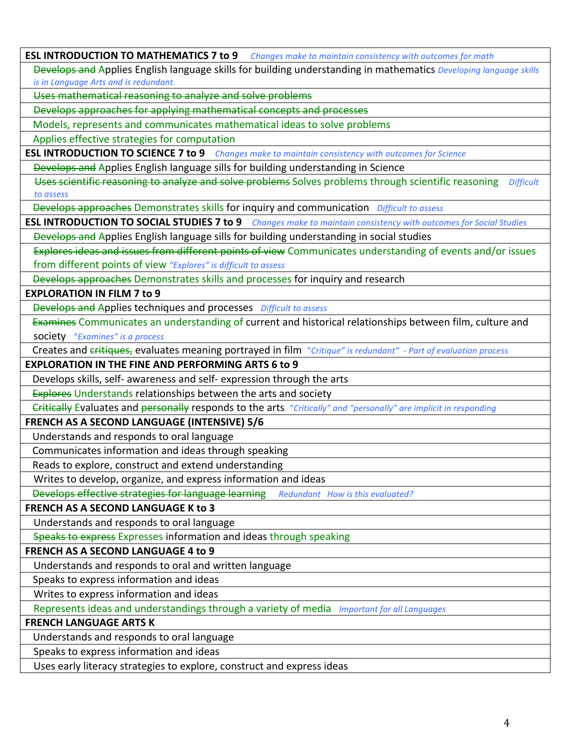|                                       | ESL INTRODUCTION TO MATHEMATICS 7 to 9 Changes make to maintain consistency with outcomes for math                       |
|---------------------------------------|--------------------------------------------------------------------------------------------------------------------------|
|                                       | Develops and Applies English language skills for building understanding in mathematics Developing language skills        |
| is in Language Arts and is redundant. |                                                                                                                          |
|                                       | Uses mathematical reasoning to analyze and solve problems                                                                |
|                                       | Develops approaches for applying mathematical concepts and processes                                                     |
|                                       | Models, represents and communicates mathematical ideas to solve problems                                                 |
|                                       | Applies effective strategies for computation                                                                             |
|                                       | ESL INTRODUCTION TO SCIENCE 7 to 9 Changes make to maintain consistency with outcomes for Science                        |
|                                       | Develops and Applies English language sills for building understanding in Science                                        |
|                                       | Uses scientific reasoning to analyze and solve problems Solves problems through scientific reasoning<br><b>Difficult</b> |
| to assess                             |                                                                                                                          |
|                                       | Develops approaches Demonstrates skills for inquiry and communication Difficult to assess                                |
|                                       | ESL INTRODUCTION TO SOCIAL STUDIES 7 to 9 Changes make to maintain consistency with outcomes for Social Studies          |
|                                       | Develops and Applies English language sills for building understanding in social studies                                 |
|                                       | Explores ideas and issues from different points of view Communicates understanding of events and/or issues               |
|                                       | from different points of view "Explores" is difficult to assess                                                          |
|                                       | Develops approaches Demonstrates skills and processes for inquiry and research                                           |
| <b>EXPLORATION IN FILM 7 to 9</b>     |                                                                                                                          |
|                                       | <b>Develops and Applies techniques and processes</b> Difficult to assess                                                 |
|                                       | Examines Communicates an understanding of current and historical relationships between film, culture and                 |
| society "Examines" is a process       |                                                                                                                          |
|                                       | Creates and critiques, evaluates meaning portrayed in film "Critique" is redundant" - Part of evaluation process         |
|                                       | <b>EXPLORATION IN THE FINE AND PERFORMING ARTS 6 to 9</b>                                                                |
|                                       | Develops skills, self- awareness and self- expression through the arts                                                   |
|                                       | <b>Explores Understands relationships between the arts and society</b>                                                   |
|                                       | Critically Evaluates and personally responds to the arts "Critically" and "personally" are implicit in responding        |
|                                       | FRENCH AS A SECOND LANGUAGE (INTENSIVE) 5/6                                                                              |
|                                       | Understands and responds to oral language                                                                                |
|                                       | Communicates information and ideas through speaking                                                                      |
|                                       | Reads to explore, construct and extend understanding                                                                     |
|                                       | Writes to develop, organize, and express information and ideas                                                           |
|                                       | Develops effective strategies for language learning<br>Redundant How is this evaluated?                                  |
|                                       | <b>FRENCH AS A SECOND LANGUAGE K to 3</b>                                                                                |
|                                       | Understands and responds to oral language                                                                                |
|                                       | Speaks to express Expresses information and ideas through speaking                                                       |
|                                       | <b>FRENCH AS A SECOND LANGUAGE 4 to 9</b>                                                                                |
|                                       | Understands and responds to oral and written language                                                                    |
|                                       | Speaks to express information and ideas                                                                                  |
|                                       | Writes to express information and ideas                                                                                  |
|                                       | Represents ideas and understandings through a variety of media Important for all Languages                               |
| <b>FRENCH LANGUAGE ARTS K</b>         |                                                                                                                          |
|                                       | Understands and responds to oral language                                                                                |
|                                       | Speaks to express information and ideas                                                                                  |
|                                       | Uses early literacy strategies to explore, construct and express ideas                                                   |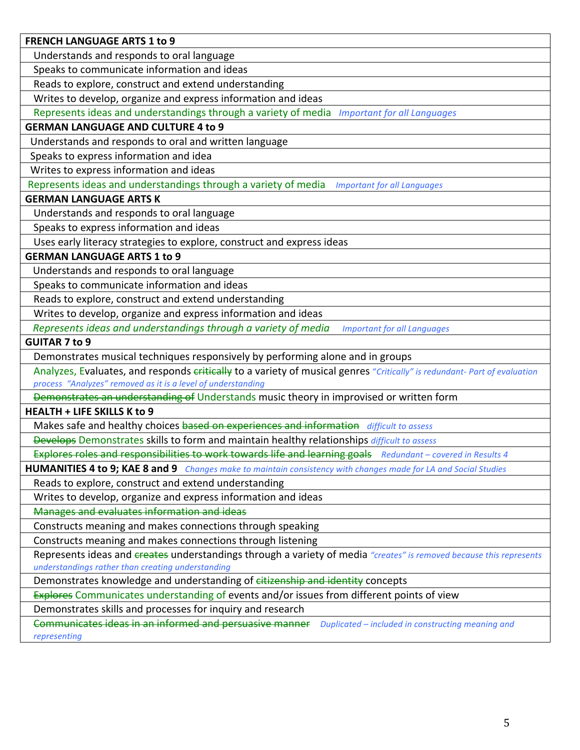| <b>FRENCH LANGUAGE ARTS 1 to 9</b>                                                                                        |
|---------------------------------------------------------------------------------------------------------------------------|
| Understands and responds to oral language                                                                                 |
| Speaks to communicate information and ideas                                                                               |
| Reads to explore, construct and extend understanding                                                                      |
| Writes to develop, organize and express information and ideas                                                             |
| Represents ideas and understandings through a variety of media Important for all Languages                                |
| <b>GERMAN LANGUAGE AND CULTURE 4 to 9</b>                                                                                 |
| Understands and responds to oral and written language                                                                     |
| Speaks to express information and idea                                                                                    |
| Writes to express information and ideas                                                                                   |
| Represents ideas and understandings through a variety of media <i>Important for all Languages</i>                         |
| <b>GERMAN LANGUAGE ARTS K</b>                                                                                             |
| Understands and responds to oral language                                                                                 |
| Speaks to express information and ideas                                                                                   |
| Uses early literacy strategies to explore, construct and express ideas                                                    |
| <b>GERMAN LANGUAGE ARTS 1 to 9</b>                                                                                        |
| Understands and responds to oral language                                                                                 |
| Speaks to communicate information and ideas                                                                               |
| Reads to explore, construct and extend understanding                                                                      |
| Writes to develop, organize and express information and ideas                                                             |
| Represents ideas and understandings through a variety of media<br><b>Important for all Languages</b>                      |
| <b>GUITAR 7 to 9</b>                                                                                                      |
| Demonstrates musical techniques responsively by performing alone and in groups                                            |
| Analyzes, Evaluates, and responds eritically to a variety of musical genres "Critically" is redundant- Part of evaluation |
| process "Analyzes" removed as it is a level of understanding                                                              |
| Demonstrates an understanding of Understands music theory in improvised or written form                                   |
| <b>HEALTH + LIFE SKILLS K to 9</b>                                                                                        |
| Makes safe and healthy choices based on experiences and information difficult to assess                                   |
| Develops Demonstrates skills to form and maintain healthy relationships difficult to assess                               |
| Explores roles and responsibilities to work towards life and learning goals Redundant - covered in Results 4              |
| HUMANITIES 4 to 9; KAE 8 and 9 Changes make to maintain consistency with changes made for LA and Social Studies           |
| Reads to explore, construct and extend understanding                                                                      |
| Writes to develop, organize and express information and ideas                                                             |
| Manages and evaluates information and ideas                                                                               |
| Constructs meaning and makes connections through speaking                                                                 |
| Constructs meaning and makes connections through listening                                                                |
| Represents ideas and creates understandings through a variety of media "creates" is removed because this represents       |
| understandings rather than creating understanding                                                                         |
| Demonstrates knowledge and understanding of citizenship and identity concepts                                             |
| Explores Communicates understanding of events and/or issues from different points of view                                 |
| Demonstrates skills and processes for inquiry and research                                                                |
| Communicates ideas in an informed and persuasive manner<br>Duplicated - included in constructing meaning and              |
| representing                                                                                                              |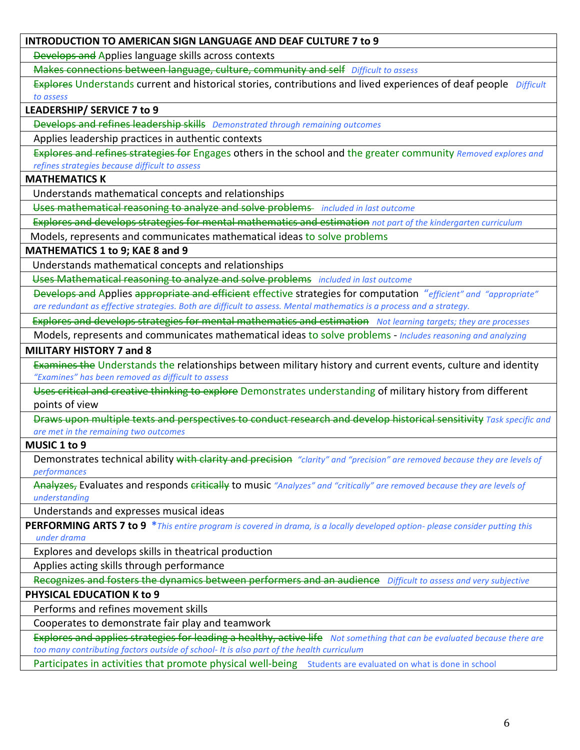## **INTRODUCTION TO AMERICAN SIGN LANGUAGE AND DEAF CULTURE 7 to 9**

Develops and Applies language skills across contexts

Makes connections between language, culture, community and self Difficult to assess

Explores Understands current and historical stories, contributions and lived experiences of deaf people *Difficult to assess*

# **LEADERSHIP/ SERVICE 7 to 9**

**Develops and refines leadership skills** Demonstrated through remaining outcomes

Applies leadership practices in authentic contexts

Explores and refines strategies for Engages others in the school and the greater community *Removed explores and refines strategies because difficult to assess*

#### **MATHEMATICS K**

Understands mathematical concepts and relationships

Uses mathematical reasoning to analyze and solve problems *included in last outcome* 

Explores and develops strategies for mental mathematics and estimation *not part of the kindergarten curriculum* 

Models, represents and communicates mathematical ideas to solve problems

#### **MATHEMATICS 1 to 9; KAE 8 and 9**

Understands mathematical concepts and relationships

Uses Mathematical reasoning to analyze and solve problems *included in last outcome* 

**Develops and Applies appropriate and efficient effective strategies for computation** "*efficient"* and "appropriate" are redundant as effective strategies. Both are difficult to assess. Mental mathematics is a process and a strategy.

Explores and develops strategies for mental mathematics and estimation Not learning targets; they are processes

Models, represents and communicates mathematical ideas to solve problems - *Includes reasoning and analyzing* 

#### **MILITARY HISTORY 7 and 8**

Examines the Understands the relationships between military history and current events, culture and identity *"Examines" has been removed as difficult to assess*

Uses critical and creative thinking to explore Demonstrates understanding of military history from different points of view

Draws upon multiple texts and perspectives to conduct research and develop historical sensitivity *Task specific* and *are met in the remaining two outcomes*

#### **MUSIC 1 to 9**

Demonstrates technical ability with clarity and precision "clarity" and "precision" are removed because they are levels of *performances*

Analyzes, Evaluates and responds critically to music "Analyzes" and "critically" are removed because they are levels of *understanding*

Understands and expresses musical ideas

**PERFORMING ARTS 7 to 9** \*This entire program is covered in drama, is a locally developed option- please consider putting this  *under drama*

Explores and develops skills in theatrical production

Applies acting skills through performance

Recognizes and fosters the dynamics between performers and an audience *Difficult to assess and very subjective* 

# **PHYSICAL EDUCATION K to 9**

Performs and refines movement skills

Cooperates to demonstrate fair play and teamwork

Explores and applies strategies for leading a healthy, active life *Not something that can be evaluated because there are* too many contributing factors outside of school- It is also part of the health curriculum

Participates in activities that promote physical well-being Students are evaluated on what is done in school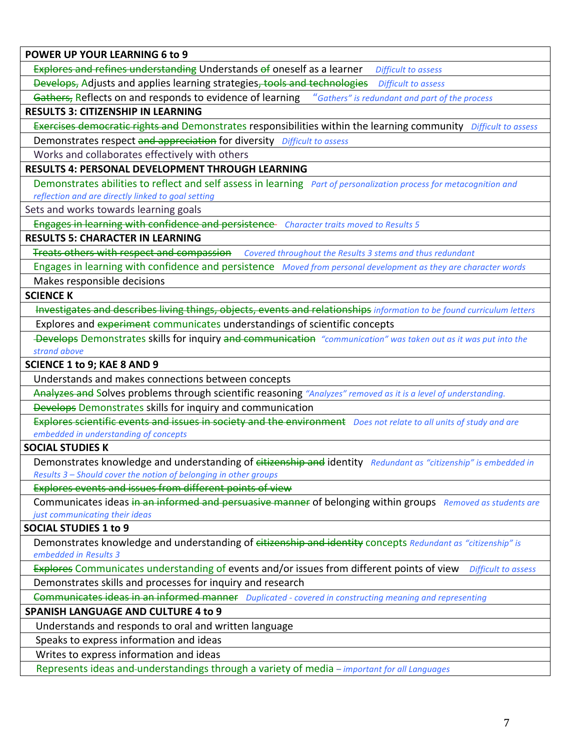**POWER UP YOUR LEARNING 6 to 9** 

Explores and refines understanding Understands of oneself as a learner *Difficult to assess* 

Develops, Adjusts and applies learning strategies, tools and technologies *Difficult to assess* 

Gathers, Reflects on and responds to evidence of learning *"Gathers"* is redundant and part of the process

#### **RESULTS 3: CITIZENSHIP IN LEARNING**

Exercises democratic rights and Demonstrates responsibilities within the learning community *Difficult to assess* 

Demonstrates respect and appreciation for diversity Difficult to assess

Works and collaborates effectively with others

## **RESULTS 4: PERSONAL DEVELOPMENT THROUGH LEARNING**

Demonstrates abilities to reflect and self assess in learning *Part of personalization process for metacognition and reflection and are directly linked to goal setting*

Sets and works towards learning goals

Engages in learning with confidence and persistence *Character traits moved to Results* 5

## **RESULTS 5: CHARACTER IN LEARNING**

Treats others with respect and compassion Covered throughout the Results 3 stems and thus redundant

Engages in learning with confidence and persistence Moved from personal development as they are character words

Makes responsible decisions

**SCIENCE K** 

Investigates and describes living things, objects, events and relationships *information* to be found curriculum letters Explores and experiment communicates understandings of scientific concepts

Develops Demonstrates skills for inquiry and communication "communication" was taken out as it was put into the *strand above*

#### **SCIENCE 1 to 9; KAE 8 AND 9**

Understands and makes connections between concepts

Analyzes and Solves problems through scientific reasoning "Analyzes" removed as it is a level of understanding.

**Develops Demonstrates skills for inquiry and communication** 

Explores scientific events and issues in society and the environment *Does not relate to all units of study and are embedded in understanding of concepts*

## **SOCIAL STUDIES K**

Demonstrates knowledge and understanding of eitizenship and identity Redundant as "citizenship" is embedded in *Results 3* – *Should cover the notion of belonging in other groups* 

Explores events and issues from different points of view

Communicates ideas in an informed and persuasive manner of belonging within groups *Removed as students are just communicating their ideas* 

#### **SOCIAL STUDIES 1 to 9**

Demonstrates knowledge and understanding of citizenship and identity concepts *Redundant as "citizenship"* is *embedded in Results 3*

Explores Communicates understanding of events and/or issues from different points of view *Difficult to assess* 

Demonstrates skills and processes for inquiry and research

Communicates ideas in an informed manner *Duplicated - covered in constructing meaning and representing* 

## **SPANISH LANGUAGE AND CULTURE 4 to 9**

Understands and responds to oral and written language

Speaks to express information and ideas

Writes to express information and ideas

Represents ideas and-understandings through a variety of media *– important for all Languages*